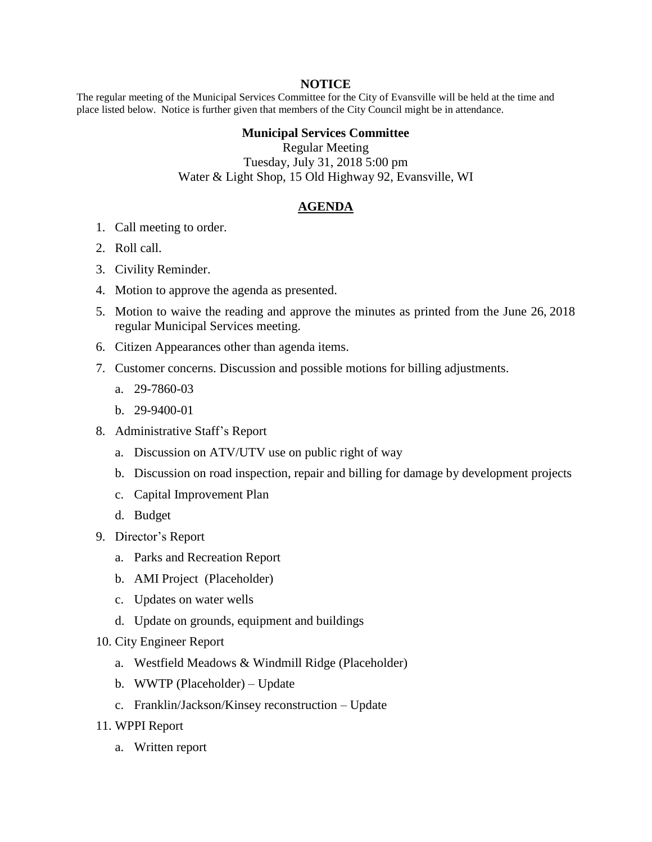## **NOTICE**

The regular meeting of the Municipal Services Committee for the City of Evansville will be held at the time and place listed below. Notice is further given that members of the City Council might be in attendance.

## **Municipal Services Committee**

Regular Meeting Tuesday, July 31, 2018 5:00 pm Water & Light Shop, 15 Old Highway 92, Evansville, WI

## **AGENDA**

- 1. Call meeting to order.
- 2. Roll call.
- 3. Civility Reminder.
- 4. Motion to approve the agenda as presented.
- 5. Motion to waive the reading and approve the minutes as printed from the June 26, 2018 regular Municipal Services meeting.
- 6. Citizen Appearances other than agenda items.
- 7. Customer concerns. Discussion and possible motions for billing adjustments.
	- a. 29-7860-03
	- b. 29-9400-01
- 8. Administrative Staff's Report
	- a. Discussion on ATV/UTV use on public right of way
	- b. Discussion on road inspection, repair and billing for damage by development projects
	- c. Capital Improvement Plan
	- d. Budget
- 9. Director's Report
	- a. Parks and Recreation Report
	- b. AMI Project (Placeholder)
	- c. Updates on water wells
	- d. Update on grounds, equipment and buildings
- 10. City Engineer Report
	- a. Westfield Meadows & Windmill Ridge (Placeholder)
	- b. WWTP (Placeholder) Update
	- c. Franklin/Jackson/Kinsey reconstruction Update
- 11. WPPI Report
	- a. Written report